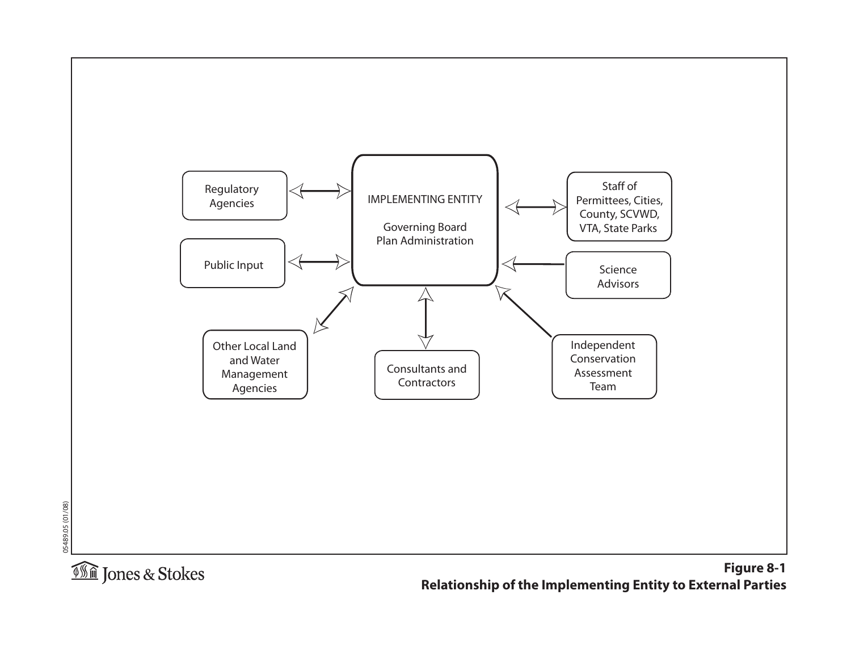

**Relationship of the Implementing Entity to External Parties**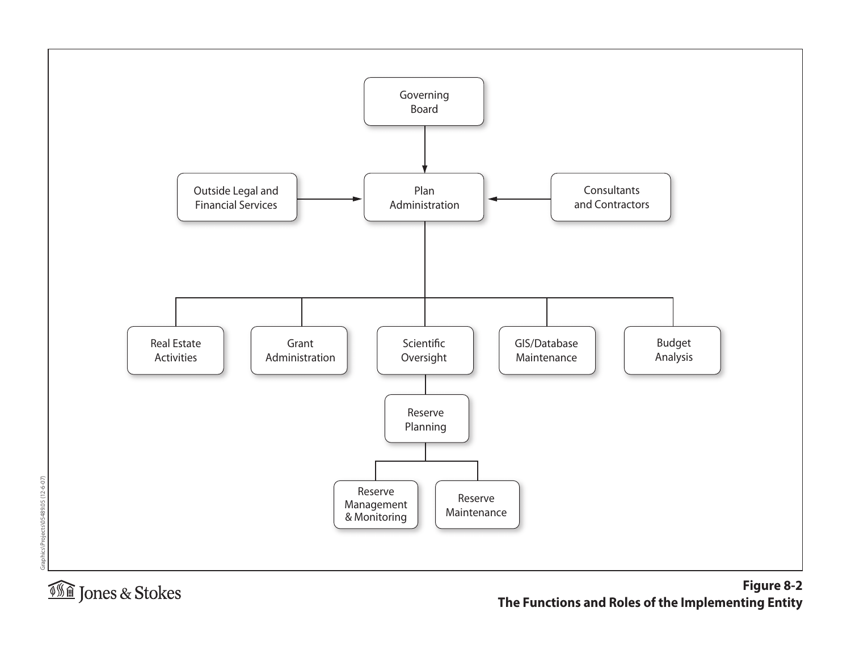

Graphics\Projects\05489.05 (12-6-07)

Graphics\Projects\05489.05 (12-6-07)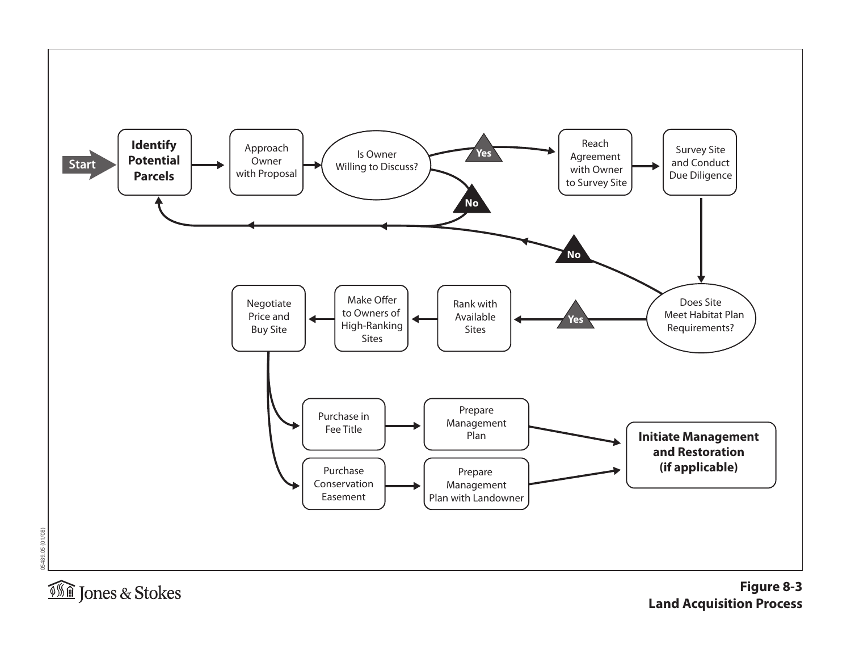

05489.05 (01/08)

05489.05 (01/08)

**Figure 8-3 Land Acquisition Process**